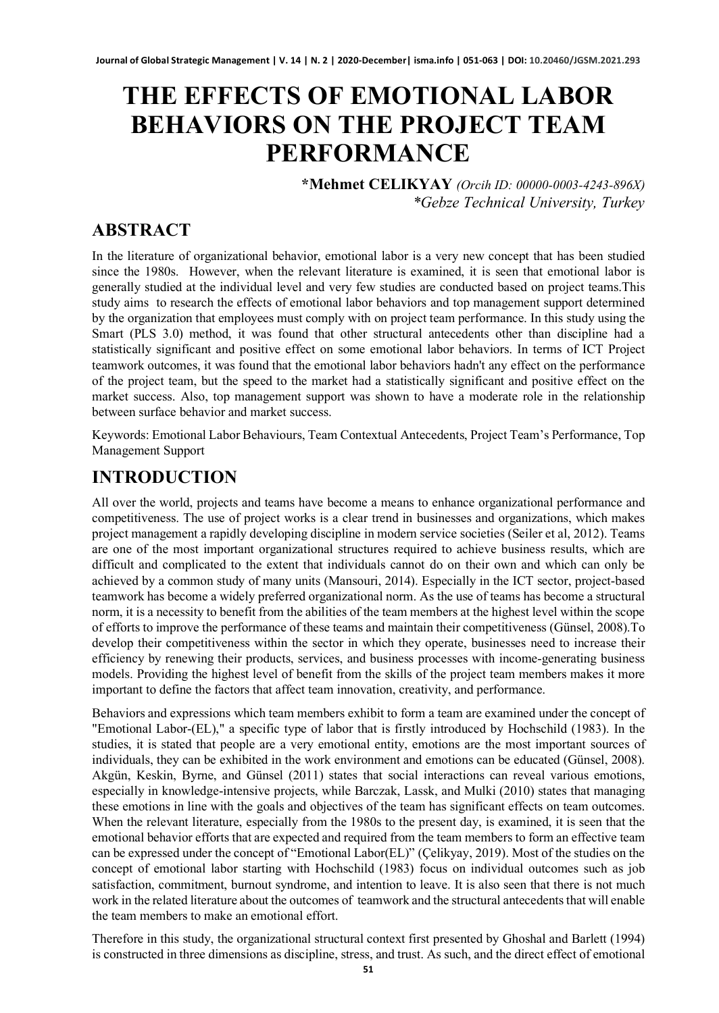# **THE EFFECTS OF EMOTIONAL LABOR BEHAVIORS ON THE PROJECT TEAM PERFORMANCE**

**\*Mehmet CELIKYAY** *(Orcih ID: 00000-0003-4243-896X) \*Gebze Technical University, Turkey*

# **ABSTRACT**

In the literature of organizational behavior, emotional labor is a very new concept that has been studied since the 1980s. However, when the relevant literature is examined, it is seen that emotional labor is generally studied at the individual level and very few studies are conducted based on project teams.This study aims to research the effects of emotional labor behaviors and top management support determined by the organization that employees must comply with on project team performance. In this study using the Smart (PLS 3.0) method, it was found that other structural antecedents other than discipline had a statistically significant and positive effect on some emotional labor behaviors. In terms of ICT Project teamwork outcomes, it was found that the emotional labor behaviors hadn't any effect on the performance of the project team, but the speed to the market had a statistically significant and positive effect on the market success. Also, top management support was shown to have a moderate role in the relationship between surface behavior and market success.

Keywords: Emotional Labor Behaviours, Team Contextual Antecedents, Project Team's Performance, Top Management Support

## **INTRODUCTION**

All over the world, projects and teams have become a means to enhance organizational performance and competitiveness. The use of project works is a clear trend in businesses and organizations, which makes project management a rapidly developing discipline in modern service societies (Seiler et al, 2012). Teams are one of the most important organizational structures required to achieve business results, which are difficult and complicated to the extent that individuals cannot do on their own and which can only be achieved by a common study of many units (Mansouri, 2014). Especially in the ICT sector, project-based teamwork has become a widely preferred organizational norm. As the use of teams has become a structural norm, it is a necessity to benefit from the abilities of the team members at the highest level within the scope of efforts to improve the performance of these teams and maintain their competitiveness (Günsel, 2008).To develop their competitiveness within the sector in which they operate, businesses need to increase their efficiency by renewing their products, services, and business processes with income-generating business models. Providing the highest level of benefit from the skills of the project team members makes it more important to define the factors that affect team innovation, creativity, and performance.

Behaviors and expressions which team members exhibit to form a team are examined under the concept of "Emotional Labor-(EL)," a specific type of labor that is firstly introduced by Hochschild (1983). In the studies, it is stated that people are a very emotional entity, emotions are the most important sources of individuals, they can be exhibited in the work environment and emotions can be educated (Günsel, 2008). Akgün, Keskin, Byrne, and Günsel (2011) states that social interactions can reveal various emotions, especially in knowledge-intensive projects, while Barczak, Lassk, and Mulki (2010) states that managing these emotions in line with the goals and objectives of the team has significant effects on team outcomes. When the relevant literature, especially from the 1980s to the present day, is examined, it is seen that the emotional behavior efforts that are expected and required from the team members to form an effective team can be expressed under the concept of "Emotional Labor(EL)" (Çelikyay, 2019). Most of the studies on the concept of emotional labor starting with Hochschild (1983) focus on individual outcomes such as job satisfaction, commitment, burnout syndrome, and intention to leave. It is also seen that there is not much work in the related literature about the outcomes of teamwork and the structural antecedents that will enable the team members to make an emotional effort.

Therefore in this study, the organizational structural context first presented by Ghoshal and Barlett (1994) is constructed in three dimensions as discipline, stress, and trust. As such, and the direct effect of emotional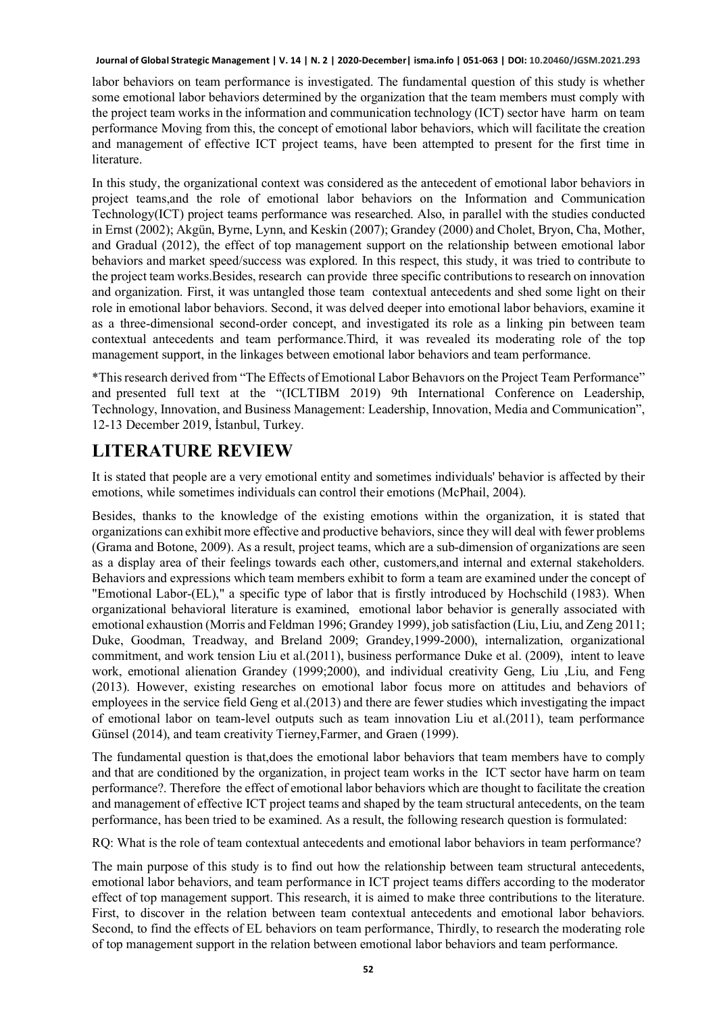labor behaviors on team performance is investigated. The fundamental question of this study is whether some emotional labor behaviors determined by the organization that the team members must comply with the project team works in the information and communication technology (ICT) sector have harm on team performance Moving from this, the concept of emotional labor behaviors, which will facilitate the creation and management of effective ICT project teams, have been attempted to present for the first time in literature.

In this study, the organizational context was considered as the antecedent of emotional labor behaviors in project teams,and the role of emotional labor behaviors on the Information and Communication Technology(ICT) project teams performance was researched. Also, in parallel with the studies conducted in Ernst (2002); Akgün, Byrne, Lynn, and Keskin (2007); Grandey (2000) and Cholet, Bryon, Cha, Mother, and Gradual (2012), the effect of top management support on the relationship between emotional labor behaviors and market speed/success was explored. In this respect, this study, it was tried to contribute to the project team works.Besides, research can provide three specific contributions to research on innovation and organization. First, it was untangled those team contextual antecedents and shed some light on their role in emotional labor behaviors. Second, it was delved deeper into emotional labor behaviors, examine it as a three-dimensional second-order concept, and investigated its role as a linking pin between team contextual antecedents and team performance.Third, it was revealed its moderating role of the top management support, in the linkages between emotional labor behaviors and team performance.

\*This research derived from "The Effects of Emotional Labor Behavıors on the Project Team Performance" and presented full text at the "(ICLTIBM 2019) 9th International Conference on Leadership, Technology, Innovation, and Business Management: Leadership, Innovation, Media and Communication", 12-13 December 2019, İstanbul, Turkey.

# **LITERATURE REVIEW**

It is stated that people are a very emotional entity and sometimes individuals' behavior is affected by their emotions, while sometimes individuals can control their emotions (McPhail, 2004).

Besides, thanks to the knowledge of the existing emotions within the organization, it is stated that organizations can exhibit more effective and productive behaviors, since they will deal with fewer problems (Grama and Botone, 2009). As a result, project teams, which are a sub-dimension of organizations are seen as a display area of their feelings towards each other, customers,and internal and external stakeholders. Behaviors and expressions which team members exhibit to form a team are examined under the concept of "Emotional Labor-(EL)," a specific type of labor that is firstly introduced by Hochschild (1983). When organizational behavioral literature is examined, emotional labor behavior is generally associated with emotional exhaustion (Morris and Feldman 1996; Grandey 1999), job satisfaction (Liu, Liu, and Zeng 2011; Duke, Goodman, Treadway, and Breland 2009; Grandey,1999-2000), internalization, organizational commitment, and work tension Liu et al.(2011), business performance Duke et al. (2009), intent to leave work, emotional alienation Grandey (1999;2000), and individual creativity Geng, Liu ,Liu, and Feng (2013). However, existing researches on emotional labor focus more on attitudes and behaviors of employees in the service field Geng et al.(2013) and there are fewer studies which investigating the impact of emotional labor on team-level outputs such as team innovation Liu et al.(2011), team performance Günsel (2014), and team creativity Tierney,Farmer, and Graen (1999).

The fundamental question is that,does the emotional labor behaviors that team members have to comply and that are conditioned by the organization, in project team works in the ICT sector have harm on team performance?. Therefore the effect of emotional labor behaviors which are thought to facilitate the creation and management of effective ICT project teams and shaped by the team structural antecedents, on the team performance, has been tried to be examined. As a result, the following research question is formulated:

RQ: What is the role of team contextual antecedents and emotional labor behaviors in team performance?

The main purpose of this study is to find out how the relationship between team structural antecedents, emotional labor behaviors, and team performance in ICT project teams differs according to the moderator effect of top management support. This research, it is aimed to make three contributions to the literature. First, to discover in the relation between team contextual antecedents and emotional labor behaviors. Second, to find the effects of EL behaviors on team performance, Thirdly, to research the moderating role of top management support in the relation between emotional labor behaviors and team performance.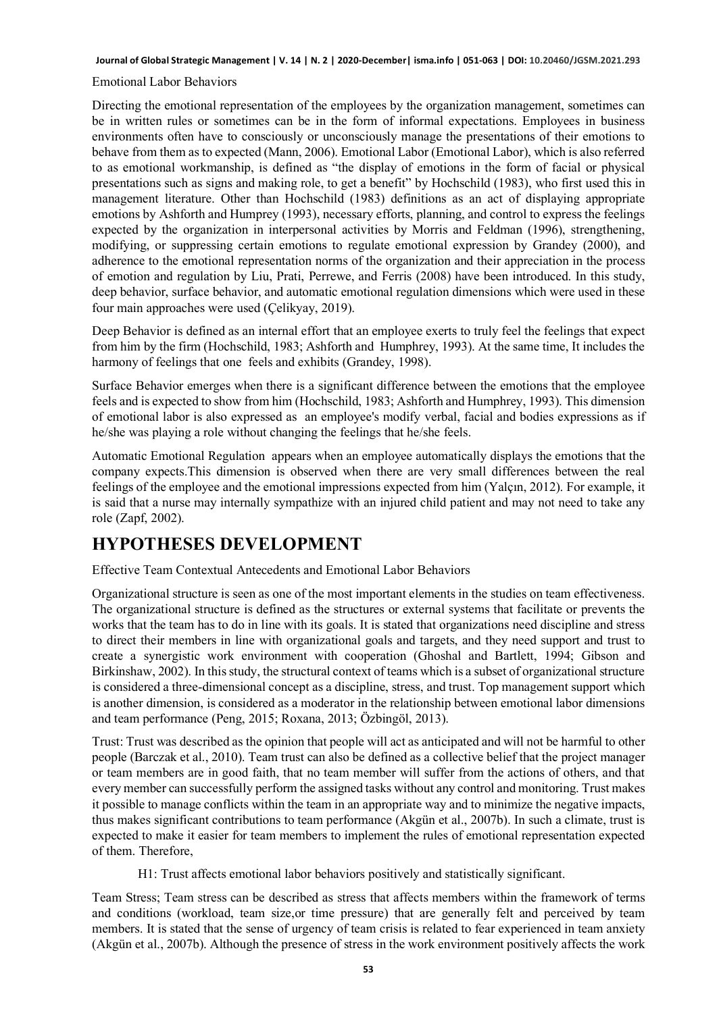#### Emotional Labor Behaviors

Directing the emotional representation of the employees by the organization management, sometimes can be in written rules or sometimes can be in the form of informal expectations. Employees in business environments often have to consciously or unconsciously manage the presentations of their emotions to behave from them as to expected (Mann, 2006). Emotional Labor (Emotional Labor), which is also referred to as emotional workmanship, is defined as "the display of emotions in the form of facial or physical presentations such as signs and making role, to get a benefit" by Hochschild (1983), who first used this in management literature. Other than Hochschild (1983) definitions as an act of displaying appropriate emotions by Ashforth and Humprey (1993), necessary efforts, planning, and control to express the feelings expected by the organization in interpersonal activities by Morris and Feldman (1996), strengthening, modifying, or suppressing certain emotions to regulate emotional expression by Grandey (2000), and adherence to the emotional representation norms of the organization and their appreciation in the process of emotion and regulation by Liu, Prati, Perrewe, and Ferris (2008) have been introduced. In this study, deep behavior, surface behavior, and automatic emotional regulation dimensions which were used in these four main approaches were used (Çelikyay, 2019).

Deep Behavior is defined as an internal effort that an employee exerts to truly feel the feelings that expect from him by the firm (Hochschild, 1983; Ashforth and Humphrey, 1993). At the same time, It includes the harmony of feelings that one feels and exhibits (Grandey, 1998).

Surface Behavior emerges when there is a significant difference between the emotions that the employee feels and is expected to show from him (Hochschild, 1983; Ashforth and Humphrey, 1993). This dimension of emotional labor is also expressed as an employee's modify verbal, facial and bodies expressions as if he/she was playing a role without changing the feelings that he/she feels.

Automatic Emotional Regulation appears when an employee automatically displays the emotions that the company expects.This dimension is observed when there are very small differences between the real feelings of the employee and the emotional impressions expected from him (Yalçın, 2012). For example, it is said that a nurse may internally sympathize with an injured child patient and may not need to take any role (Zapf, 2002).

### **HYPOTHESES DEVELOPMENT**

Effective Team Contextual Antecedents and Emotional Labor Behaviors

Organizational structure is seen as one of the most important elements in the studies on team effectiveness. The organizational structure is defined as the structures or external systems that facilitate or prevents the works that the team has to do in line with its goals. It is stated that organizations need discipline and stress to direct their members in line with organizational goals and targets, and they need support and trust to create a synergistic work environment with cooperation (Ghoshal and Bartlett, 1994; Gibson and Birkinshaw, 2002). In this study, the structural context of teams which is a subset of organizational structure is considered a three-dimensional concept as a discipline, stress, and trust. Top management support which is another dimension, is considered as a moderator in the relationship between emotional labor dimensions and team performance (Peng, 2015; Roxana, 2013; Özbingöl, 2013).

Trust: Trust was described as the opinion that people will act as anticipated and will not be harmful to other people (Barczak et al., 2010). Team trust can also be defined as a collective belief that the project manager or team members are in good faith, that no team member will suffer from the actions of others, and that every member can successfully perform the assigned tasks without any control and monitoring. Trust makes it possible to manage conflicts within the team in an appropriate way and to minimize the negative impacts, thus makes significant contributions to team performance (Akgün et al., 2007b). In such a climate, trust is expected to make it easier for team members to implement the rules of emotional representation expected of them. Therefore,

H1: Trust affects emotional labor behaviors positively and statistically significant.

Team Stress; Team stress can be described as stress that affects members within the framework of terms and conditions (workload, team size,or time pressure) that are generally felt and perceived by team members. It is stated that the sense of urgency of team crisis is related to fear experienced in team anxiety (Akgün et al., 2007b). Although the presence of stress in the work environment positively affects the work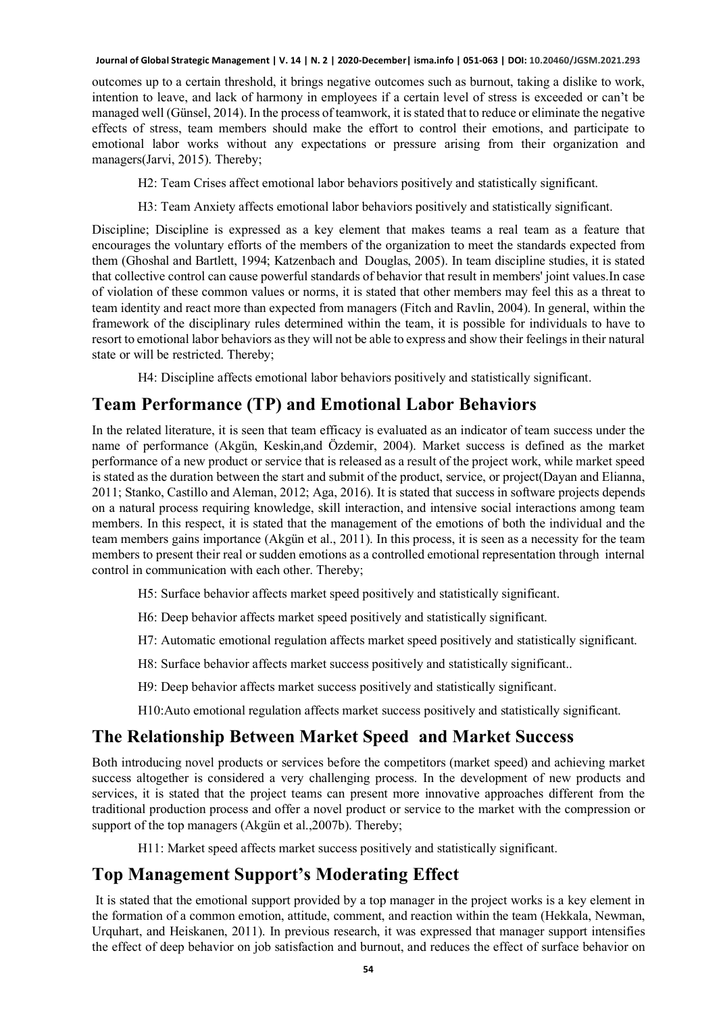outcomes up to a certain threshold, it brings negative outcomes such as burnout, taking a dislike to work, intention to leave, and lack of harmony in employees if a certain level of stress is exceeded or can't be managed well (Günsel, 2014). In the process of teamwork, it is stated that to reduce or eliminate the negative effects of stress, team members should make the effort to control their emotions, and participate to emotional labor works without any expectations or pressure arising from their organization and managers(Jarvi, 2015). Thereby;

H2: Team Crises affect emotional labor behaviors positively and statistically significant.

H3: Team Anxiety affects emotional labor behaviors positively and statistically significant.

Discipline; Discipline is expressed as a key element that makes teams a real team as a feature that encourages the voluntary efforts of the members of the organization to meet the standards expected from them (Ghoshal and Bartlett, 1994; Katzenbach and Douglas, 2005). In team discipline studies, it is stated that collective control can cause powerful standards of behavior that result in members' joint values.In case of violation of these common values or norms, it is stated that other members may feel this as a threat to team identity and react more than expected from managers (Fitch and Ravlin, 2004). In general, within the framework of the disciplinary rules determined within the team, it is possible for individuals to have to resort to emotional labor behaviors as they will not be able to express and show their feelings in their natural state or will be restricted. Thereby;

H4: Discipline affects emotional labor behaviors positively and statistically significant.

#### **Team Performance (TP) and Emotional Labor Behaviors**

In the related literature, it is seen that team efficacy is evaluated as an indicator of team success under the name of performance (Akgün, Keskin,and Özdemir, 2004). Market success is defined as the market performance of a new product or service that is released as a result of the project work, while market speed is stated as the duration between the start and submit of the product, service, or project(Dayan and Elianna, 2011; Stanko, Castillo and Aleman, 2012; Aga, 2016). It is stated that success in software projects depends on a natural process requiring knowledge, skill interaction, and intensive social interactions among team members. In this respect, it is stated that the management of the emotions of both the individual and the team members gains importance (Akgün et al., 2011). In this process, it is seen as a necessity for the team members to present their real or sudden emotions as a controlled emotional representation through internal control in communication with each other. Thereby;

H5: Surface behavior affects market speed positively and statistically significant.

- H6: Deep behavior affects market speed positively and statistically significant.
- H7: Automatic emotional regulation affects market speed positively and statistically significant.
- H8: Surface behavior affects market success positively and statistically significant..
- H9: Deep behavior affects market success positively and statistically significant.
- H10:Auto emotional regulation affects market success positively and statistically significant.

#### **The Relationship Between Market Speed and Market Success**

Both introducing novel products or services before the competitors (market speed) and achieving market success altogether is considered a very challenging process. In the development of new products and services, it is stated that the project teams can present more innovative approaches different from the traditional production process and offer a novel product or service to the market with the compression or support of the top managers (Akgün et al.,2007b). Thereby;

H11: Market speed affects market success positively and statistically significant.

### **Top Management Support's Moderating Effect**

It is stated that the emotional support provided by a top manager in the project works is a key element in the formation of a common emotion, attitude, comment, and reaction within the team (Hekkala, Newman, Urquhart, and Heiskanen, 2011). In previous research, it was expressed that manager support intensifies the effect of deep behavior on job satisfaction and burnout, and reduces the effect of surface behavior on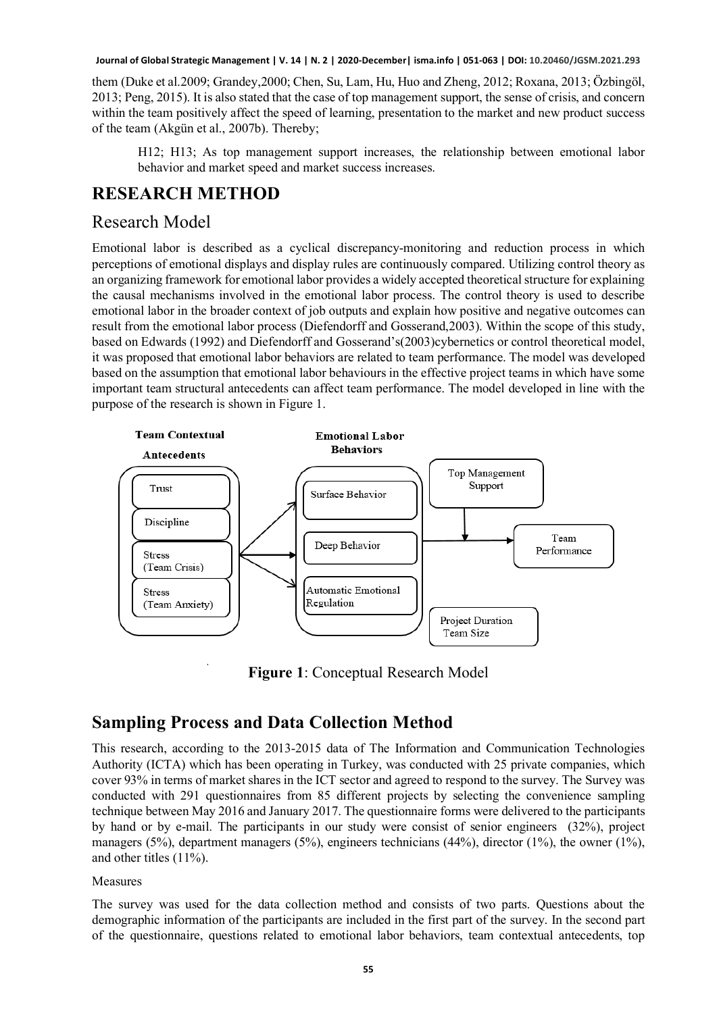them (Duke et al.2009; Grandey,2000; Chen, Su, Lam, Hu, Huo and Zheng, 2012; Roxana, 2013; Özbingöl, 2013; Peng, 2015). It is also stated that the case of top management support, the sense of crisis, and concern within the team positively affect the speed of learning, presentation to the market and new product success of the team (Akgün et al., 2007b). Thereby;

H12; H13; As top management support increases, the relationship between emotional labor behavior and market speed and market success increases.

#### **RESEARCH METHOD**

#### Research Model

Emotional labor is described as a cyclical discrepancy-monitoring and reduction process in which perceptions of emotional displays and display rules are continuously compared. Utilizing control theory as an organizing framework for emotional labor provides a widely accepted theoretical structure for explaining the causal mechanisms involved in the emotional labor process. The control theory is used to describe emotional labor in the broader context of job outputs and explain how positive and negative outcomes can result from the emotional labor process (Diefendorff and Gosserand,2003). Within the scope of this study, based on Edwards (1992) and Diefendorff and Gosserand's(2003)cybernetics or control theoretical model, it was proposed that emotional labor behaviors are related to team performance. The model was developed based on the assumption that emotional labor behaviours in the effective project teams in which have some important team structural antecedents can affect team performance. The model developed in line with the purpose of the research is shown in Figure 1.



**Figure 1**: Conceptual Research Model

### **Sampling Process and Data Collection Method**

This research, according to the 2013-2015 data of The Information and Communication Technologies Authority (ICTA) which has been operating in Turkey, was conducted with 25 private companies, which cover 93% in terms of market shares in the ICT sector and agreed to respond to the survey. The Survey was conducted with 291 questionnaires from 85 different projects by selecting the convenience sampling technique between May 2016 and January 2017. The questionnaire forms were delivered to the participants by hand or by e-mail. The participants in our study were consist of senior engineers (32%), project managers (5%), department managers (5%), engineers technicians (44%), director (1%), the owner (1%), and other titles (11%).

#### Measures

The survey was used for the data collection method and consists of two parts. Questions about the demographic information of the participants are included in the first part of the survey. In the second part of the questionnaire, questions related to emotional labor behaviors, team contextual antecedents, top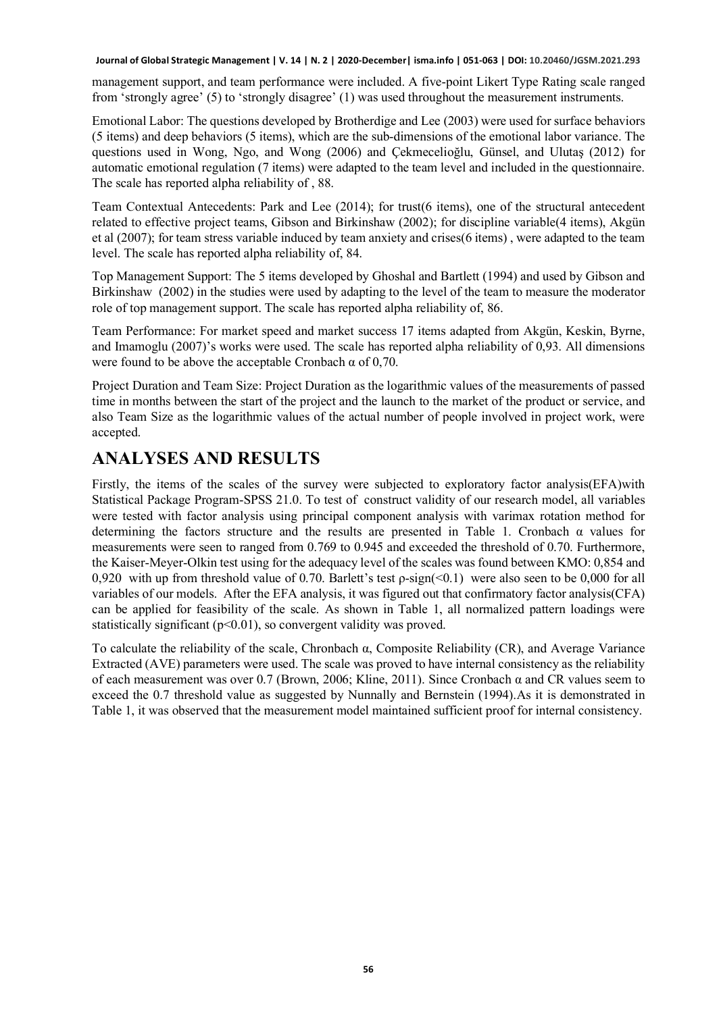management support, and team performance were included. A five-point Likert Type Rating scale ranged from 'strongly agree' (5) to 'strongly disagree' (1) was used throughout the measurement instruments.

Emotional Labor: The questions developed by Brotherdige and Lee (2003) were used for surface behaviors (5 items) and deep behaviors (5 items), which are the sub-dimensions of the emotional labor variance. The questions used in Wong, Ngo, and Wong (2006) and Çekmecelioğlu, Günsel, and Ulutaş (2012) for automatic emotional regulation (7 items) were adapted to the team level and included in the questionnaire. The scale has reported alpha reliability of , 88.

Team Contextual Antecedents: Park and Lee (2014); for trust(6 items), one of the structural antecedent related to effective project teams, Gibson and Birkinshaw (2002); for discipline variable(4 items), Akgün et al (2007); for team stress variable induced by team anxiety and crises(6 items) , were adapted to the team level. The scale has reported alpha reliability of, 84.

Top Management Support: The 5 items developed by Ghoshal and Bartlett (1994) and used by Gibson and Birkinshaw (2002) in the studies were used by adapting to the level of the team to measure the moderator role of top management support. The scale has reported alpha reliability of, 86.

Team Performance: For market speed and market success 17 items adapted from Akgün, Keskin, Byrne, and Imamoglu (2007)'s works were used. The scale has reported alpha reliability of 0,93. All dimensions were found to be above the acceptable Cronbach  $\alpha$  of 0,70.

Project Duration and Team Size: Project Duration as the logarithmic values of the measurements of passed time in months between the start of the project and the launch to the market of the product or service, and also Team Size as the logarithmic values of the actual number of people involved in project work, were accepted.

# **ANALYSES AND RESULTS**

Firstly, the items of the scales of the survey were subjected to exploratory factor analysis(EFA)with Statistical Package Program-SPSS 21.0. To test of construct validity of our research model, all variables were tested with factor analysis using principal component analysis with varimax rotation method for determining the factors structure and the results are presented in Table 1. Cronbach  $\alpha$  values for measurements were seen to ranged from 0.769 to 0.945 and exceeded the threshold of 0.70. Furthermore, the Kaiser-Meyer-Olkin test using for the adequacy level of the scales was found between KMO: 0,854 and 0,920 with up from threshold value of 0.70. Barlett's test ρ-sign(<0.1) were also seen to be 0,000 for all variables of our models. After the EFA analysis, it was figured out that confirmatory factor analysis(CFA) can be applied for feasibility of the scale. As shown in Table 1, all normalized pattern loadings were statistically significant ( $p<0.01$ ), so convergent validity was proved.

To calculate the reliability of the scale, Chronbach α, Composite Reliability (CR), and Average Variance Extracted (AVE) parameters were used. The scale was proved to have internal consistency as the reliability of each measurement was over 0.7 (Brown, 2006; Kline, 2011). Since Cronbach α and CR values seem to exceed the 0.7 threshold value as suggested by Nunnally and Bernstein (1994).As it is demonstrated in Table 1, it was observed that the measurement model maintained sufficient proof for internal consistency.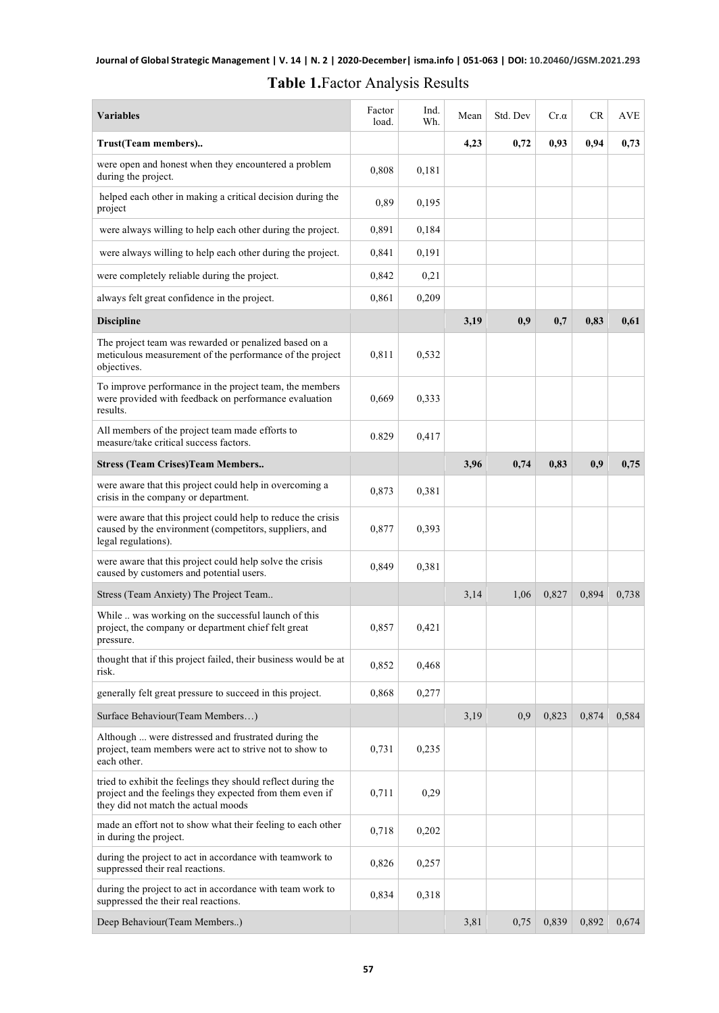#### **Table 1.**Factor Analysis Results

| <b>Variables</b>                                                                                                                                                | Factor<br>load. | Ind.<br>Wh. | Mean | Std. Dev | $Cr.\alpha$ | CR    | AVE   |
|-----------------------------------------------------------------------------------------------------------------------------------------------------------------|-----------------|-------------|------|----------|-------------|-------|-------|
| Trust(Team members)                                                                                                                                             |                 |             | 4,23 | 0,72     | 0,93        | 0,94  | 0,73  |
| were open and honest when they encountered a problem<br>during the project.                                                                                     | 0,808           | 0,181       |      |          |             |       |       |
| helped each other in making a critical decision during the<br>project                                                                                           | 0,89            | 0,195       |      |          |             |       |       |
| were always willing to help each other during the project.                                                                                                      | 0,891           | 0,184       |      |          |             |       |       |
| were always willing to help each other during the project.                                                                                                      | 0,841           | 0,191       |      |          |             |       |       |
| were completely reliable during the project.                                                                                                                    | 0,842           | 0,21        |      |          |             |       |       |
| always felt great confidence in the project.                                                                                                                    | 0,861           | 0,209       |      |          |             |       |       |
| <b>Discipline</b>                                                                                                                                               |                 |             | 3,19 | 0,9      | 0,7         | 0,83  | 0,61  |
| The project team was rewarded or penalized based on a<br>meticulous measurement of the performance of the project<br>objectives.                                | 0.811           | 0,532       |      |          |             |       |       |
| To improve performance in the project team, the members<br>were provided with feedback on performance evaluation<br>results.                                    | 0,669           | 0,333       |      |          |             |       |       |
| All members of the project team made efforts to<br>measure/take critical success factors.                                                                       | 0.829           | 0,417       |      |          |             |       |       |
| <b>Stress (Team Crises)Team Members</b>                                                                                                                         |                 |             | 3,96 | 0,74     | 0,83        | 0.9   | 0,75  |
| were aware that this project could help in overcoming a<br>crisis in the company or department.                                                                 | 0,873           | 0,381       |      |          |             |       |       |
| were aware that this project could help to reduce the crisis<br>caused by the environment (competitors, suppliers, and<br>legal regulations).                   | 0,877           | 0,393       |      |          |             |       |       |
| were aware that this project could help solve the crisis<br>caused by customers and potential users.                                                            | 0,849           | 0,381       |      |          |             |       |       |
| Stress (Team Anxiety) The Project Team                                                                                                                          |                 |             | 3,14 | 1,06     | 0,827       | 0,894 | 0,738 |
| While  was working on the successful launch of this<br>project, the company or department chief felt great<br>pressure.                                         | 0,857           | 0,421       |      |          |             |       |       |
| thought that if this project failed, their business would be at<br>risk.                                                                                        | 0,852           | 0,468       |      |          |             |       |       |
| generally felt great pressure to succeed in this project.                                                                                                       | 0,868           | 0,277       |      |          |             |       |       |
| Surface Behaviour(Team Members)                                                                                                                                 |                 |             | 3,19 | 0,9      | 0,823       | 0,874 | 0,584 |
| Although  were distressed and frustrated during the<br>project, team members were act to strive not to show to<br>each other.                                   | 0,731           | 0,235       |      |          |             |       |       |
| tried to exhibit the feelings they should reflect during the<br>project and the feelings they expected from them even if<br>they did not match the actual moods | 0,711           | 0,29        |      |          |             |       |       |
| made an effort not to show what their feeling to each other<br>in during the project.                                                                           | 0,718           | 0,202       |      |          |             |       |       |
| during the project to act in accordance with teamwork to<br>suppressed their real reactions.                                                                    | 0,826           | 0,257       |      |          |             |       |       |
| during the project to act in accordance with team work to<br>suppressed the their real reactions.                                                               | 0,834           | 0,318       |      |          |             |       |       |
| Deep Behaviour(Team Members)                                                                                                                                    |                 |             | 3,81 | 0,75     | 0,839       | 0,892 | 0,674 |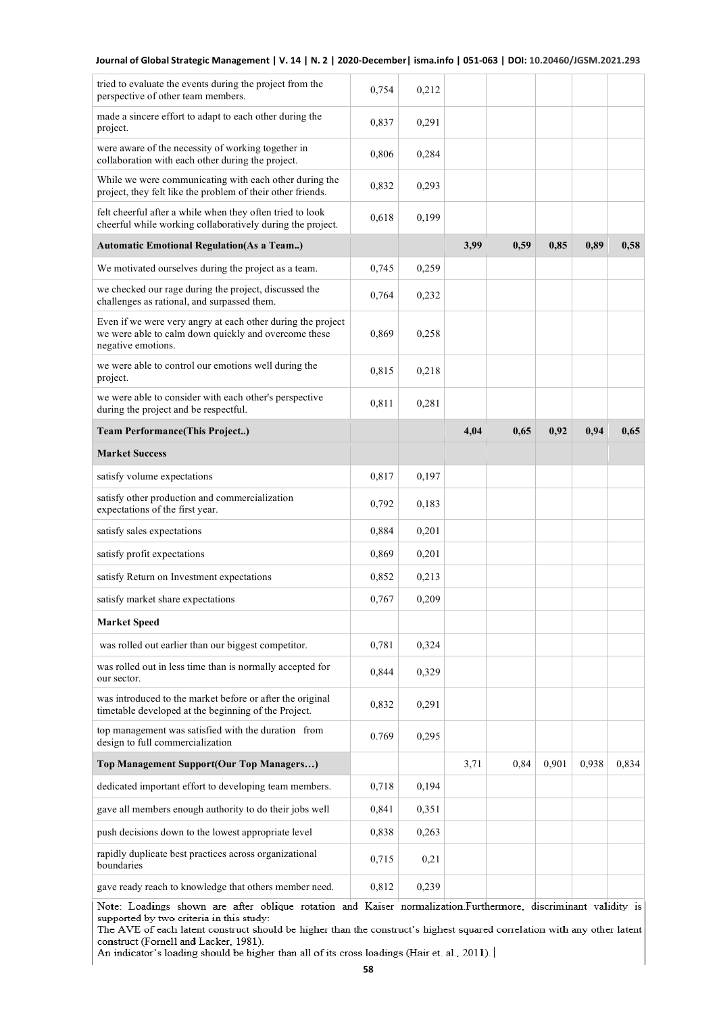| 0,754 | 0,212 |                |      |       |       |       |
|-------|-------|----------------|------|-------|-------|-------|
| 0,837 | 0,291 |                |      |       |       |       |
| 0,806 | 0,284 |                |      |       |       |       |
| 0,832 | 0,293 |                |      |       |       |       |
| 0,618 | 0,199 |                |      |       |       |       |
|       |       | 3,99           | 0,59 | 0,85  | 0,89  | 0,58  |
| 0,745 | 0,259 |                |      |       |       |       |
| 0,764 | 0,232 |                |      |       |       |       |
| 0,869 | 0,258 |                |      |       |       |       |
| 0,815 | 0,218 |                |      |       |       |       |
| 0,811 | 0,281 |                |      |       |       |       |
|       |       | 4,04           | 0,65 | 0,92  | 0,94  | 0,65  |
|       |       |                |      |       |       |       |
| 0,817 | 0,197 |                |      |       |       |       |
| 0,792 | 0,183 |                |      |       |       |       |
| 0,884 | 0,201 |                |      |       |       |       |
| 0,869 | 0,201 |                |      |       |       |       |
| 0,852 | 0,213 |                |      |       |       |       |
| 0,767 | 0,209 |                |      |       |       |       |
|       |       |                |      |       |       |       |
| 0.781 | 0.324 |                |      |       |       |       |
| 0,844 | 0,329 |                |      |       |       |       |
| 0,832 | 0,291 |                |      |       |       |       |
| 0.769 | 0,295 |                |      |       |       |       |
|       |       | 3,71           | 0,84 | 0.901 | 0.938 | 0,834 |
|       |       |                |      |       |       |       |
|       |       |                |      |       |       |       |
| 0,841 | 0,351 |                |      |       |       |       |
| 0,838 | 0,263 |                |      |       |       |       |
| 0,715 | 0,21  |                |      |       |       |       |
|       |       | 0,194<br>0,718 |      |       |       |       |

Note: Loadings shown are after oblique rotation and Kaiser normalization.Furthermore, discriminant validity is supported by two criteria in this study:

The AVE of each latent construct should be higher than the construct's highest squared correlation with any other latent construct (Fornell and Lacker, 1981).

An indicator's loading should be higher than all of its cross loadings (Hair et. al., 2011).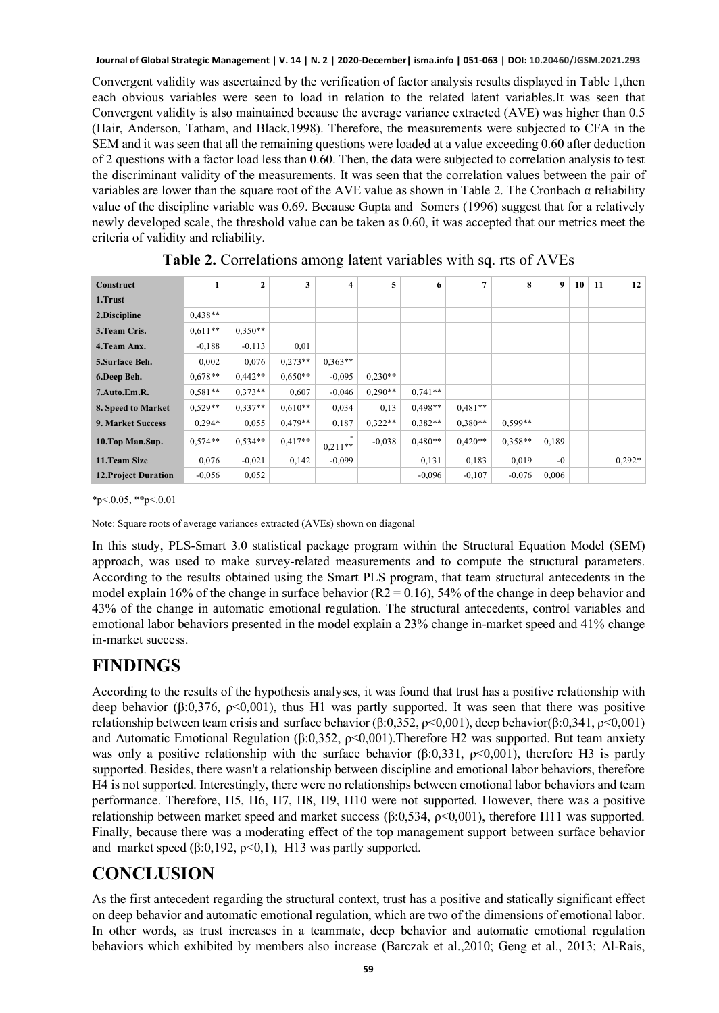Convergent validity was ascertained by the verification of factor analysis results displayed in Table 1,then each obvious variables were seen to load in relation to the related latent variables.It was seen that Convergent validity is also maintained because the average variance extracted (AVE) was higher than 0.5 (Hair, Anderson, Tatham, and Black,1998). Therefore, the measurements were subjected to CFA in the SEM and it was seen that all the remaining questions were loaded at a value exceeding 0.60 after deduction of 2 questions with a factor load less than 0.60. Then, the data were subjected to correlation analysis to test the discriminant validity of the measurements. It was seen that the correlation values between the pair of variables are lower than the square root of the AVE value as shown in Table 2. The Cronbach α reliability value of the discipline variable was 0.69. Because Gupta and Somers (1996) suggest that for a relatively newly developed scale, the threshold value can be taken as 0.60, it was accepted that our metrics meet the criteria of validity and reliability.

| Construct                   | 1         | $\overline{2}$ | 3         | 4         | 5         | 6         | $\overline{7}$ | 8         | $\boldsymbol{9}$ | 10 | 11 | 12 <sup>1</sup> |
|-----------------------------|-----------|----------------|-----------|-----------|-----------|-----------|----------------|-----------|------------------|----|----|-----------------|
|                             |           |                |           |           |           |           |                |           |                  |    |    |                 |
| 1.Trust                     |           |                |           |           |           |           |                |           |                  |    |    |                 |
| 2.Discipline                | $0.438**$ |                |           |           |           |           |                |           |                  |    |    |                 |
| 3. Team Cris.               | $0.611**$ | $0.350**$      |           |           |           |           |                |           |                  |    |    |                 |
| 4. Team Anx.                | $-0.188$  | $-0,113$       | 0,01      |           |           |           |                |           |                  |    |    |                 |
| 5. Surface Beh.             | 0.002     | 0.076          | $0.273**$ | $0.363**$ |           |           |                |           |                  |    |    |                 |
| 6.Deep Beh.                 | $0.678**$ | $0.442**$      | $0.650**$ | $-0.095$  | $0.230**$ |           |                |           |                  |    |    |                 |
| 7.Auto.Em.R.                | $0.581**$ | $0.373**$      | 0.607     | $-0.046$  | $0.290**$ | $0.741**$ |                |           |                  |    |    |                 |
| 8. Speed to Market          | $0.529**$ | $0.337**$      | $0.610**$ | 0,034     | 0,13      | $0.498**$ | $0.481**$      |           |                  |    |    |                 |
| <b>9. Market Success</b>    | $0.294*$  | 0,055          | $0.479**$ | 0,187     | $0.322**$ | $0.382**$ | $0.380**$      | $0.599**$ |                  |    |    |                 |
| 10.Top Man.Sup.             | $0.574**$ | $0.534**$      | $0.417**$ | $0,211**$ | $-0.038$  | $0.480**$ | $0.420**$      | $0.358**$ | 0.189            |    |    |                 |
| 11.Team Size                | 0.076     | $-0,021$       | 0,142     | $-0.099$  |           | 0,131     | 0,183          | 0.019     | $-0$             |    |    | $0.292*$        |
| <b>12. Project Duration</b> | $-0.056$  | 0,052          |           |           |           | $-0.096$  | $-0,107$       | $-0.076$  | 0,006            |    |    |                 |

**Table 2.** Correlations among latent variables with sq. rts of AVEs

 $*p<0.05, **p<0.01$ 

Note: Square roots of average variances extracted (AVEs) shown on diagonal

In this study, PLS-Smart 3.0 statistical package program within the Structural Equation Model (SEM) approach, was used to make survey-related measurements and to compute the structural parameters. According to the results obtained using the Smart PLS program, that team structural antecedents in the model explain 16% of the change in surface behavior  $(R2 = 0.16)$ , 54% of the change in deep behavior and 43% of the change in automatic emotional regulation. The structural antecedents, control variables and emotional labor behaviors presented in the model explain a 23% change in-market speed and 41% change in-market success.

### **FINDINGS**

According to the results of the hypothesis analyses, it was found that trust has a positive relationship with deep behavior (β:0,376,  $p<0,001$ ), thus H1 was partly supported. It was seen that there was positive relationship between team crisis and surface behavior (β:0,352,  $\rho$ <0,001), deep behavior(β:0,341,  $\rho$ <0,001) and Automatic Emotional Regulation ( $\beta$ :0,352,  $\rho$ <0,001). Therefore H2 was supported. But team anxiety was only a positive relationship with the surface behavior ( $\beta$ :0,331,  $\rho$ <0,001), therefore H3 is partly supported. Besides, there wasn't a relationship between discipline and emotional labor behaviors, therefore H4 is not supported. Interestingly, there were no relationships between emotional labor behaviors and team performance. Therefore, H5, H6, H7, H8, H9, H10 were not supported. However, there was a positive relationship between market speed and market success (β:0,534,  $ρ<0,001$ ), therefore H11 was supported. Finally, because there was a moderating effect of the top management support between surface behavior and market speed  $(\beta:0,192, \rho<0,1)$ , H13 was partly supported.

# **CONCLUSION**

As the first antecedent regarding the structural context, trust has a positive and statically significant effect on deep behavior and automatic emotional regulation, which are two of the dimensions of emotional labor. In other words, as trust increases in a teammate, deep behavior and automatic emotional regulation behaviors which exhibited by members also increase (Barczak et al.,2010; Geng et al., 2013; Al-Rais,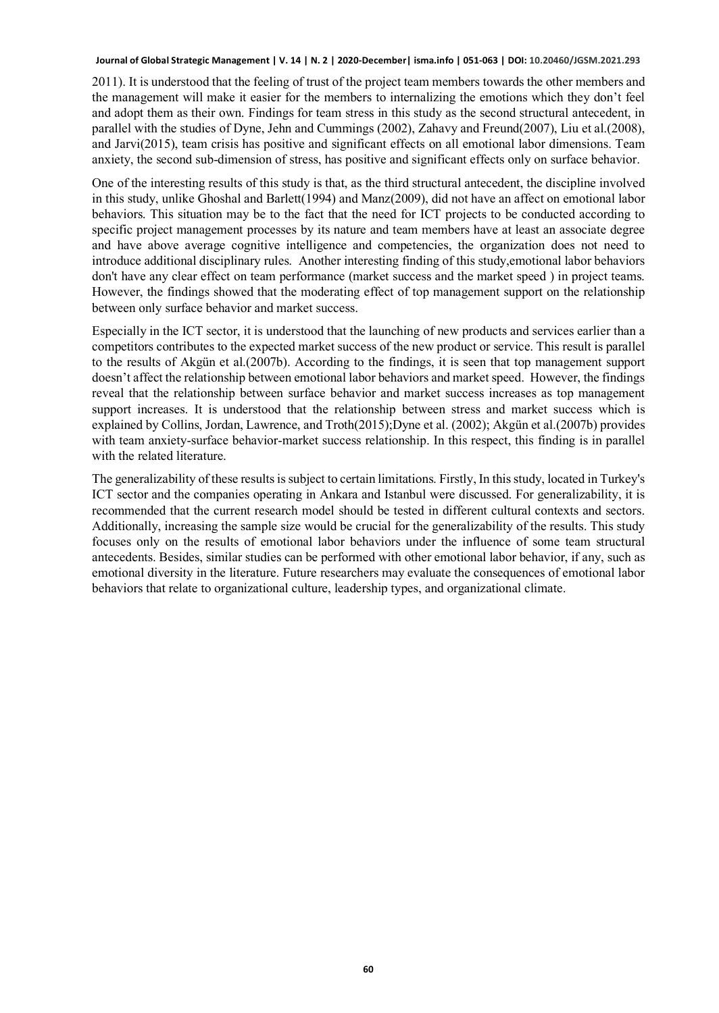2011). It is understood that the feeling of trust of the project team members towards the other members and the management will make it easier for the members to internalizing the emotions which they don't feel and adopt them as their own. Findings for team stress in this study as the second structural antecedent, in parallel with the studies of Dyne, Jehn and Cummings (2002), Zahavy and Freund(2007), Liu et al.(2008), and Jarvi(2015), team crisis has positive and significant effects on all emotional labor dimensions. Team anxiety, the second sub-dimension of stress, has positive and significant effects only on surface behavior.

One of the interesting results of this study is that, as the third structural antecedent, the discipline involved in this study, unlike Ghoshal and Barlett(1994) and Manz(2009), did not have an affect on emotional labor behaviors. This situation may be to the fact that the need for ICT projects to be conducted according to specific project management processes by its nature and team members have at least an associate degree and have above average cognitive intelligence and competencies, the organization does not need to introduce additional disciplinary rules. Another interesting finding of this study,emotional labor behaviors don't have any clear effect on team performance (market success and the market speed ) in project teams. However, the findings showed that the moderating effect of top management support on the relationship between only surface behavior and market success.

Especially in the ICT sector, it is understood that the launching of new products and services earlier than a competitors contributes to the expected market success of the new product or service. This result is parallel to the results of Akgün et al.(2007b). According to the findings, it is seen that top management support doesn't affect the relationship between emotional labor behaviors and market speed. However, the findings reveal that the relationship between surface behavior and market success increases as top management support increases. It is understood that the relationship between stress and market success which is explained by Collins, Jordan, Lawrence, and Troth(2015);Dyne et al. (2002); Akgün et al.(2007b) provides with team anxiety-surface behavior-market success relationship. In this respect, this finding is in parallel with the related literature.

The generalizability of these results is subject to certain limitations. Firstly, In this study, located in Turkey's ICT sector and the companies operating in Ankara and Istanbul were discussed. For generalizability, it is recommended that the current research model should be tested in different cultural contexts and sectors. Additionally, increasing the sample size would be crucial for the generalizability of the results. This study focuses only on the results of emotional labor behaviors under the influence of some team structural antecedents. Besides, similar studies can be performed with other emotional labor behavior, if any, such as emotional diversity in the literature. Future researchers may evaluate the consequences of emotional labor behaviors that relate to organizational culture, leadership types, and organizational climate.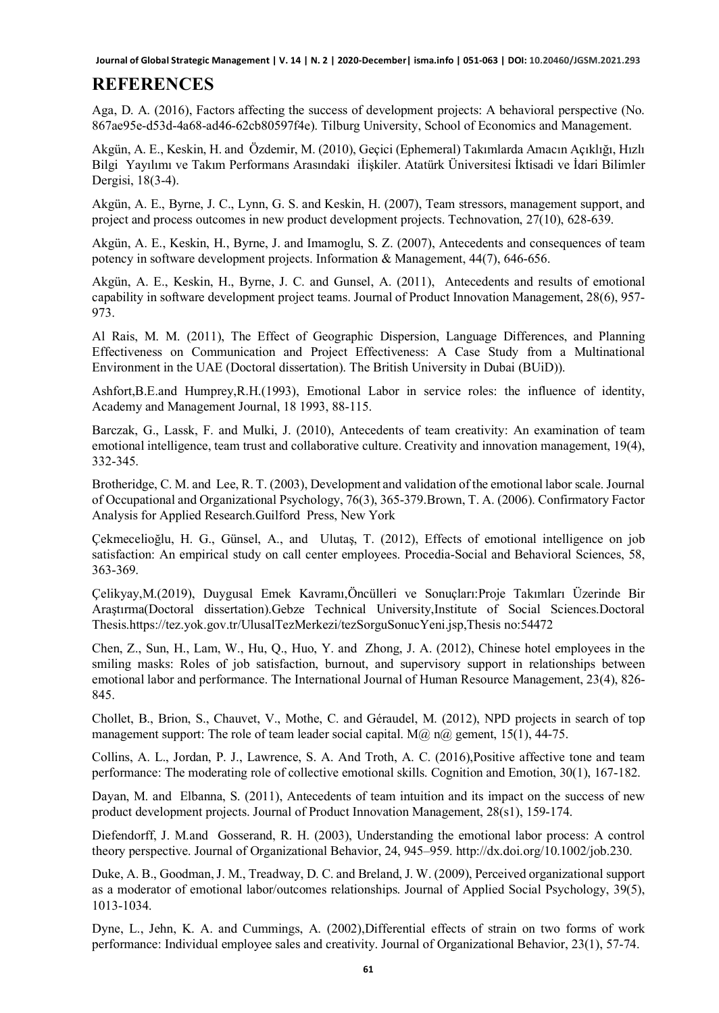#### **REFERENCES**

Aga, D. A. (2016), Factors affecting the success of development projects: A behavioral perspective (No. 867ae95e-d53d-4a68-ad46-62cb80597f4e). Tilburg University, School of Economics and Management.

Akgün, A. E., Keskin, H. and Özdemir, M. (2010), Geçici (Ephemeral) Takımlarda Amacın Açıklığı, Hızlı Bilgi Yayılımı ve Takım Performans Arasındaki iİişkiler. Atatürk Üniversitesi İktisadi ve İdari Bilimler Dergisi, 18(3-4).

Akgün, A. E., Byrne, J. C., Lynn, G. S. and Keskin, H. (2007), Team stressors, management support, and project and process outcomes in new product development projects. Technovation, 27(10), 628-639.

Akgün, A. E., Keskin, H., Byrne, J. and Imamoglu, S. Z. (2007), Antecedents and consequences of team potency in software development projects. Information & Management, 44(7), 646-656.

Akgün, A. E., Keskin, H., Byrne, J. C. and Gunsel, A. (2011), Antecedents and results of emotional capability in software development project teams. Journal of Product Innovation Management, 28(6), 957- 973.

Al Rais, M. M. (2011), The Effect of Geographic Dispersion, Language Differences, and Planning Effectiveness on Communication and Project Effectiveness: A Case Study from a Multinational Environment in the UAE (Doctoral dissertation). The British University in Dubai (BUiD)).

Ashfort,B.E.and Humprey,R.H.(1993), Emotional Labor in service roles: the influence of identity, Academy and Management Journal, 18 1993, 88-115.

Barczak, G., Lassk, F. and Mulki, J. (2010), Antecedents of team creativity: An examination of team emotional intelligence, team trust and collaborative culture. Creativity and innovation management, 19(4), 332-345.

Brotheridge, C. M. and Lee, R. T. (2003), Development and validation of the emotional labor scale. Journal of Occupational and Organizational Psychology, 76(3), 365-379.Brown, T. A. (2006). Confirmatory Factor Analysis for Applied Research.Guilford Press, New York

Çekmecelioğlu, H. G., Günsel, A., and Ulutaş, T. (2012), Effects of emotional intelligence on job satisfaction: An empirical study on call center employees. Procedia-Social and Behavioral Sciences, 58, 363-369.

Çelikyay,M.(2019), Duygusal Emek Kavramı,Öncülleri ve Sonuçları:Proje Takımları Üzerinde Bir Araştırma(Doctoral dissertation).Gebze Technical University,Institute of Social Sciences.Doctoral Thesis.https://tez.yok.gov.tr/UlusalTezMerkezi/tezSorguSonucYeni.jsp,Thesis no:54472

Chen, Z., Sun, H., Lam, W., Hu, Q., Huo, Y. and Zhong, J. A. (2012), Chinese hotel employees in the smiling masks: Roles of job satisfaction, burnout, and supervisory support in relationships between emotional labor and performance. The International Journal of Human Resource Management, 23(4), 826- 845.

Chollet, B., Brion, S., Chauvet, V., Mothe, C. and Géraudel, M. (2012), NPD projects in search of top management support: The role of team leader social capital.  $M(\hat{\omega})$  n $(\hat{\omega})$  gement, 15(1), 44-75.

Collins, A. L., Jordan, P. J., Lawrence, S. A. And Troth, A. C. (2016),Positive affective tone and team performance: The moderating role of collective emotional skills. Cognition and Emotion, 30(1), 167-182.

Dayan, M. and Elbanna, S. (2011), Antecedents of team intuition and its impact on the success of new product development projects. Journal of Product Innovation Management, 28(s1), 159-174.

Diefendorff, J. M.and Gosserand, R. H. (2003), Understanding the emotional labor process: A control theory perspective. Journal of Organizational Behavior, 24, 945–959. http://dx.doi.org/10.1002/job.230.

Duke, A. B., Goodman, J. M., Treadway, D. C. and Breland, J. W. (2009), Perceived organizational support as a moderator of emotional labor/outcomes relationships. Journal of Applied Social Psychology, 39(5), 1013-1034.

Dyne, L., Jehn, K. A. and Cummings, A. (2002),Differential effects of strain on two forms of work performance: Individual employee sales and creativity. Journal of Organizational Behavior, 23(1), 57-74.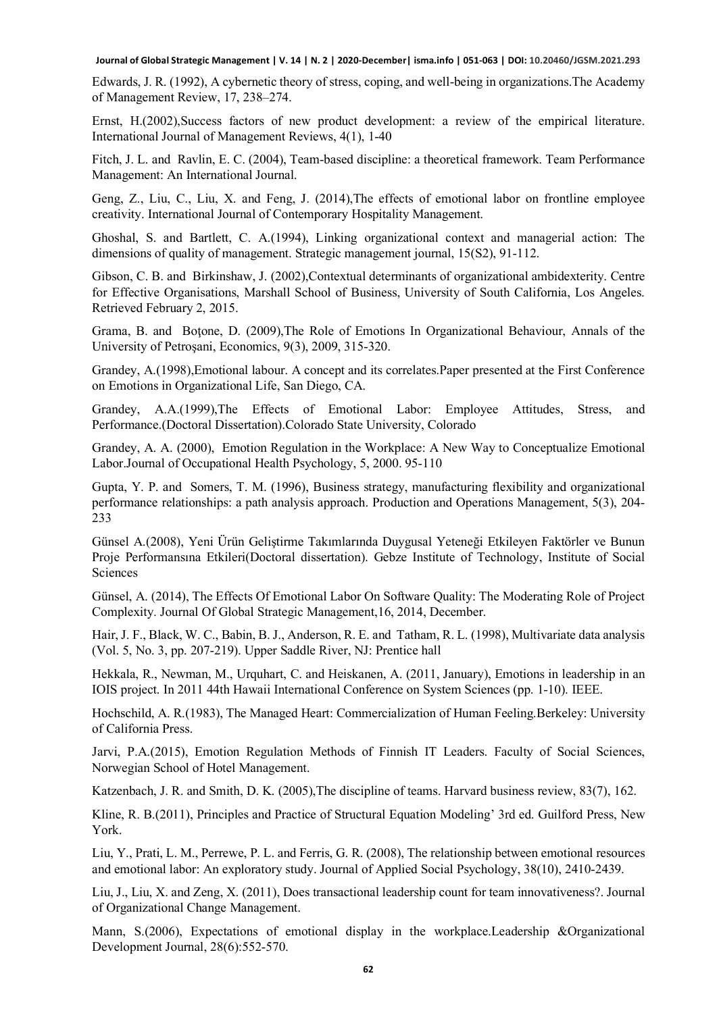Edwards, J. R. (1992), A cybernetic theory of stress, coping, and well-being in organizations.The Academy of Management Review, 17, 238–274.

Ernst, H.(2002),Success factors of new product development: a review of the empirical literature. International Journal of Management Reviews, 4(1), 1-40

Fitch, J. L. and Ravlin, E. C. (2004), Team-based discipline: a theoretical framework. Team Performance Management: An International Journal.

Geng, Z., Liu, C., Liu, X. and Feng, J. (2014),The effects of emotional labor on frontline employee creativity. International Journal of Contemporary Hospitality Management.

Ghoshal, S. and Bartlett, C. A.(1994), Linking organizational context and managerial action: The dimensions of quality of management. Strategic management journal, 15(S2), 91-112.

Gibson, C. B. and Birkinshaw, J. (2002),Contextual determinants of organizational ambidexterity. Centre for Effective Organisations, Marshall School of Business, University of South California, Los Angeles. Retrieved February 2, 2015.

Grama, B. and Botone, D. (2009), The Role of Emotions In Organizational Behaviour, Annals of the University of Petroşani, Economics, 9(3), 2009, 315-320.

Grandey, A.(1998),Emotional labour. A concept and its correlates.Paper presented at the First Conference on Emotions in Organizational Life, San Diego, CA.

Grandey, A.A.(1999),The Effects of Emotional Labor: Employee Attitudes, Stress, and Performance.(Doctoral Dissertation).Colorado State University, Colorado

Grandey, A. A. (2000), Emotion Regulation in the Workplace: A New Way to Conceptualize Emotional Labor.Journal of Occupational Health Psychology, 5, 2000. 95-110

Gupta, Y. P. and Somers, T. M. (1996), Business strategy, manufacturing flexibility and organizational performance relationships: a path analysis approach. Production and Operations Management, 5(3), 204- 233

Günsel A.(2008), Yeni Ürün Geliştirme Takımlarında Duygusal Yeteneği Etkileyen Faktörler ve Bunun Proje Performansına Etkileri(Doctoral dissertation). Gebze Institute of Technology, Institute of Social Sciences

Günsel, A. (2014), The Effects Of Emotional Labor On Software Quality: The Moderating Role of Project Complexity. Journal Of Global Strategic Management,16, 2014, December.

Hair, J. F., Black, W. C., Babin, B. J., Anderson, R. E. and Tatham, R. L. (1998), Multivariate data analysis (Vol. 5, No. 3, pp. 207-219). Upper Saddle River, NJ: Prentice hall

Hekkala, R., Newman, M., Urquhart, C. and Heiskanen, A. (2011, January), Emotions in leadership in an IOIS project. In 2011 44th Hawaii International Conference on System Sciences (pp. 1-10). IEEE.

Hochschild, A. R.(1983), The Managed Heart: Commercialization of Human Feeling.Berkeley: University of California Press.

Jarvi, P.A.(2015), Emotion Regulation Methods of Finnish IT Leaders. Faculty of Social Sciences, Norwegian School of Hotel Management.

Katzenbach, J. R. and Smith, D. K. (2005),The discipline of teams. Harvard business review, 83(7), 162.

Kline, R. B.(2011), Principles and Practice of Structural Equation Modeling' 3rd ed. Guilford Press, New York.

Liu, Y., Prati, L. M., Perrewe, P. L. and Ferris, G. R. (2008), The relationship between emotional resources and emotional labor: An exploratory study. Journal of Applied Social Psychology, 38(10), 2410-2439.

Liu, J., Liu, X. and Zeng, X. (2011), Does transactional leadership count for team innovativeness?. Journal of Organizational Change Management.

Mann, S.(2006), Expectations of emotional display in the workplace.Leadership &Organizational Development Journal, 28(6):552-570.